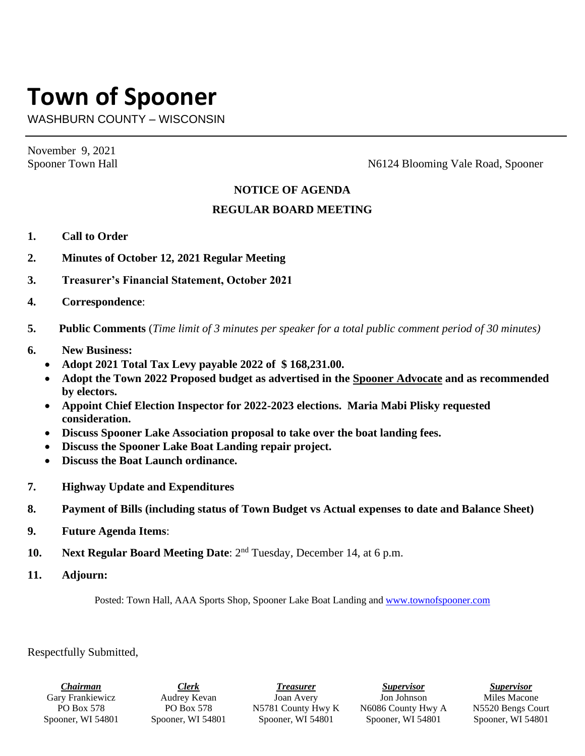## **Town of Spooner**

WASHBURN COUNTY – WISCONSIN

November 9, 2021

Spooner Town Hall Spooner Town Hall Spooner Town Hall Spooner N6124 Blooming Vale Road, Spooner

## **NOTICE OF AGENDA**

## **REGULAR BOARD MEETING**

- **1. Call to Order**
- **2. Minutes of October 12, 2021 Regular Meeting**
- **3. Treasurer's Financial Statement, October 2021**
- **4. Correspondence**:
- **5. Public Comments** (*Time limit of 3 minutes per speaker for a total public comment period of 30 minutes)*
- **6. New Business:**
	- **Adopt 2021 Total Tax Levy payable 2022 of \$ 168,231.00.**
	- **Adopt the Town 2022 Proposed budget as advertised in the Spooner Advocate and as recommended by electors.**
	- **Appoint Chief Election Inspector for 2022-2023 elections. Maria Mabi Plisky requested consideration.**
	- **Discuss Spooner Lake Association proposal to take over the boat landing fees.**
	- **Discuss the Spooner Lake Boat Landing repair project.**
	- **Discuss the Boat Launch ordinance.**
- **7. Highway Update and Expenditures**
- **8. Payment of Bills (including status of Town Budget vs Actual expenses to date and Balance Sheet)**
- **9. Future Agenda Items**:
- **10. Next Regular Board Meeting Date**: 2nd Tuesday, December 14, at 6 p.m.
- **11. Adjourn:**

Posted: Town Hall, AAA Sports Shop, Spooner Lake Boat Landing and [www.townofspooner.com](http://www.townofspooner.com/)

Respectfully Submitted,

*Chairman* Gary Frankiewicz PO Box 578 Spooner, WI 54801

*Clerk* Audrey Kevan PO Box 578 Spooner, WI 54801

*Treasurer* Joan Avery N5781 County Hwy K Spooner, WI 54801

*Supervisor* Jon Johnson N6086 County Hwy A Spooner, WI 54801

*Supervisor* Miles Macone N5520 Bengs Court Spooner, WI 54801